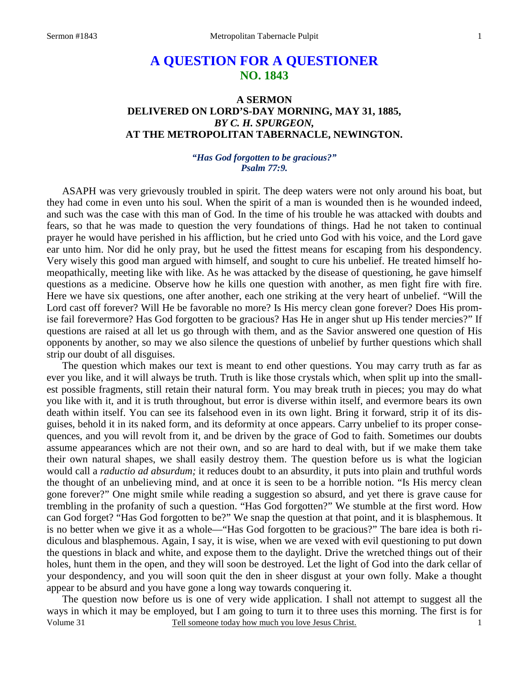# **A QUESTION FOR A QUESTIONER NO. 1843**

## **A SERMON DELIVERED ON LORD'S-DAY MORNING, MAY 31, 1885,**  *BY C. H. SPURGEON,*  **AT THE METROPOLITAN TABERNACLE, NEWINGTON.**

### *"Has God forgotten to be gracious?" Psalm 77:9.*

ASAPH was very grievously troubled in spirit. The deep waters were not only around his boat, but they had come in even unto his soul. When the spirit of a man is wounded then is he wounded indeed, and such was the case with this man of God. In the time of his trouble he was attacked with doubts and fears, so that he was made to question the very foundations of things. Had he not taken to continual prayer he would have perished in his affliction, but he cried unto God with his voice, and the Lord gave ear unto him. Nor did he only pray, but he used the fittest means for escaping from his despondency. Very wisely this good man argued with himself, and sought to cure his unbelief. He treated himself homeopathically, meeting like with like. As he was attacked by the disease of questioning, he gave himself questions as a medicine. Observe how he kills one question with another, as men fight fire with fire. Here we have six questions, one after another, each one striking at the very heart of unbelief. "Will the Lord cast off forever? Will He be favorable no more? Is His mercy clean gone forever? Does His promise fail forevermore? Has God forgotten to be gracious? Has He in anger shut up His tender mercies?" If questions are raised at all let us go through with them, and as the Savior answered one question of His opponents by another, so may we also silence the questions of unbelief by further questions which shall strip our doubt of all disguises.

 The question which makes our text is meant to end other questions. You may carry truth as far as ever you like, and it will always be truth. Truth is like those crystals which, when split up into the smallest possible fragments, still retain their natural form. You may break truth in pieces; you may do what you like with it, and it is truth throughout, but error is diverse within itself, and evermore bears its own death within itself. You can see its falsehood even in its own light. Bring it forward, strip it of its disguises, behold it in its naked form, and its deformity at once appears. Carry unbelief to its proper consequences, and you will revolt from it, and be driven by the grace of God to faith. Sometimes our doubts assume appearances which are not their own, and so are hard to deal with, but if we make them take their own natural shapes, we shall easily destroy them. The question before us is what the logician would call a *raductio ad absurdum;* it reduces doubt to an absurdity, it puts into plain and truthful words the thought of an unbelieving mind, and at once it is seen to be a horrible notion. "Is His mercy clean gone forever?" One might smile while reading a suggestion so absurd, and yet there is grave cause for trembling in the profanity of such a question. "Has God forgotten?" We stumble at the first word. How can God forget? "Has God forgotten to be?" We snap the question at that point, and it is blasphemous. It is no better when we give it as a whole—"Has God forgotten to be gracious?" The bare idea is both ridiculous and blasphemous. Again, I say, it is wise, when we are vexed with evil questioning to put down the questions in black and white, and expose them to the daylight. Drive the wretched things out of their holes, hunt them in the open, and they will soon be destroyed. Let the light of God into the dark cellar of your despondency, and you will soon quit the den in sheer disgust at your own folly. Make a thought appear to be absurd and you have gone a long way towards conquering it.

Volume 31 Tell someone today how much you love Jesus Christ. The question now before us is one of very wide application. I shall not attempt to suggest all the ways in which it may be employed, but I am going to turn it to three uses this morning. The first is for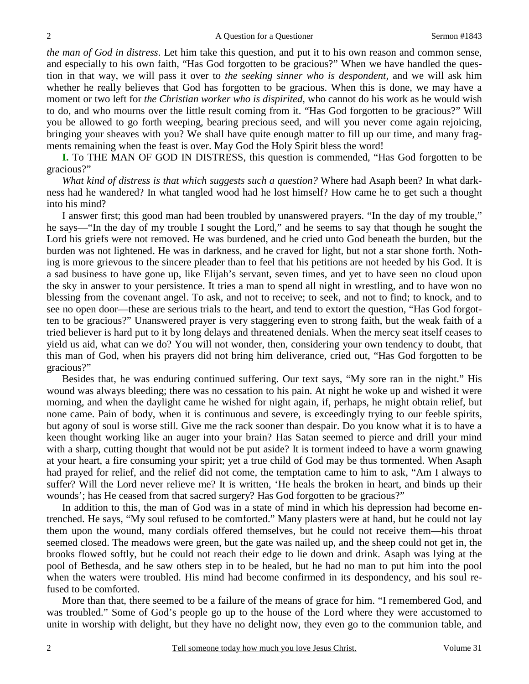*the man of God in distress*. Let him take this question, and put it to his own reason and common sense, and especially to his own faith, "Has God forgotten to be gracious?" When we have handled the question in that way, we will pass it over to *the seeking sinner who is despondent,* and we will ask him whether he really believes that God has forgotten to be gracious. When this is done, we may have a moment or two left for *the Christian worker who is dispirited,* who cannot do his work as he would wish to do, and who mourns over the little result coming from it. "Has God forgotten to be gracious?" Will you be allowed to go forth weeping, bearing precious seed, and will you never come again rejoicing, bringing your sheaves with you? We shall have quite enough matter to fill up our time, and many fragments remaining when the feast is over. May God the Holy Spirit bless the word!

**I.** To THE MAN OF GOD IN DISTRESS, this question is commended, "Has God forgotten to be gracious?"

 *What kind of distress is that which suggests such a question?* Where had Asaph been? In what darkness had he wandered? In what tangled wood had he lost himself? How came he to get such a thought into his mind?

 I answer first; this good man had been troubled by unanswered prayers. "In the day of my trouble," he says—"In the day of my trouble I sought the Lord," and he seems to say that though he sought the Lord his griefs were not removed. He was burdened, and he cried unto God beneath the burden, but the burden was not lightened. He was in darkness, and he craved for light, but not a star shone forth. Nothing is more grievous to the sincere pleader than to feel that his petitions are not heeded by his God. It is a sad business to have gone up, like Elijah's servant, seven times, and yet to have seen no cloud upon the sky in answer to your persistence. It tries a man to spend all night in wrestling, and to have won no blessing from the covenant angel. To ask, and not to receive; to seek, and not to find; to knock, and to see no open door—these are serious trials to the heart, and tend to extort the question, "Has God forgotten to be gracious?" Unanswered prayer is very staggering even to strong faith, but the weak faith of a tried believer is hard put to it by long delays and threatened denials. When the mercy seat itself ceases to yield us aid, what can we do? You will not wonder, then, considering your own tendency to doubt, that this man of God, when his prayers did not bring him deliverance, cried out, "Has God forgotten to be gracious?"

 Besides that, he was enduring continued suffering. Our text says, "My sore ran in the night." His wound was always bleeding; there was no cessation to his pain. At night he woke up and wished it were morning, and when the daylight came he wished for night again, if, perhaps, he might obtain relief, but none came. Pain of body, when it is continuous and severe, is exceedingly trying to our feeble spirits, but agony of soul is worse still. Give me the rack sooner than despair. Do you know what it is to have a keen thought working like an auger into your brain? Has Satan seemed to pierce and drill your mind with a sharp, cutting thought that would not be put aside? It is torment indeed to have a worm gnawing at your heart, a fire consuming your spirit; yet a true child of God may be thus tormented. When Asaph had prayed for relief, and the relief did not come, the temptation came to him to ask, "Am I always to suffer? Will the Lord never relieve me? It is written, 'He heals the broken in heart, and binds up their wounds'; has He ceased from that sacred surgery? Has God forgotten to be gracious?"

 In addition to this, the man of God was in a state of mind in which his depression had become entrenched. He says, "My soul refused to be comforted." Many plasters were at hand, but he could not lay them upon the wound, many cordials offered themselves, but he could not receive them—his throat seemed closed. The meadows were green, but the gate was nailed up, and the sheep could not get in, the brooks flowed softly, but he could not reach their edge to lie down and drink. Asaph was lying at the pool of Bethesda, and he saw others step in to be healed, but he had no man to put him into the pool when the waters were troubled. His mind had become confirmed in its despondency, and his soul refused to be comforted.

 More than that, there seemed to be a failure of the means of grace for him. "I remembered God, and was troubled." Some of God's people go up to the house of the Lord where they were accustomed to unite in worship with delight, but they have no delight now, they even go to the communion table, and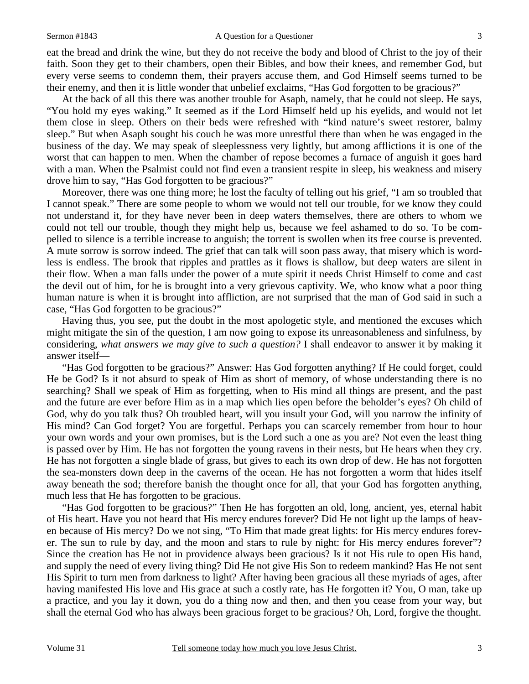#### Sermon #1843 **A** Question for a Questioner 3

eat the bread and drink the wine, but they do not receive the body and blood of Christ to the joy of their faith. Soon they get to their chambers, open their Bibles, and bow their knees, and remember God, but every verse seems to condemn them, their prayers accuse them, and God Himself seems turned to be their enemy, and then it is little wonder that unbelief exclaims, "Has God forgotten to be gracious?"

 At the back of all this there was another trouble for Asaph, namely, that he could not sleep. He says, "You hold my eyes waking." It seemed as if the Lord Himself held up his eyelids, and would not let them close in sleep. Others on their beds were refreshed with "kind nature's sweet restorer, balmy sleep." But when Asaph sought his couch he was more unrestful there than when he was engaged in the business of the day. We may speak of sleeplessness very lightly, but among afflictions it is one of the worst that can happen to men. When the chamber of repose becomes a furnace of anguish it goes hard with a man. When the Psalmist could not find even a transient respite in sleep, his weakness and misery drove him to say, "Has God forgotten to be gracious?"

 Moreover, there was one thing more; he lost the faculty of telling out his grief, "I am so troubled that I cannot speak." There are some people to whom we would not tell our trouble, for we know they could not understand it, for they have never been in deep waters themselves, there are others to whom we could not tell our trouble, though they might help us, because we feel ashamed to do so. To be compelled to silence is a terrible increase to anguish; the torrent is swollen when its free course is prevented. A mute sorrow is sorrow indeed. The grief that can talk will soon pass away, that misery which is wordless is endless. The brook that ripples and prattles as it flows is shallow, but deep waters are silent in their flow. When a man falls under the power of a mute spirit it needs Christ Himself to come and cast the devil out of him, for he is brought into a very grievous captivity. We, who know what a poor thing human nature is when it is brought into affliction, are not surprised that the man of God said in such a case, "Has God forgotten to be gracious?"

 Having thus, you see, put the doubt in the most apologetic style, and mentioned the excuses which might mitigate the sin of the question, I am now going to expose its unreasonableness and sinfulness, by considering, *what answers we may give to such a question?* I shall endeavor to answer it by making it answer itself—

 "Has God forgotten to be gracious?" Answer: Has God forgotten anything? If He could forget, could He be God? Is it not absurd to speak of Him as short of memory, of whose understanding there is no searching? Shall we speak of Him as forgetting, when to His mind all things are present, and the past and the future are ever before Him as in a map which lies open before the beholder's eyes? Oh child of God, why do you talk thus? Oh troubled heart, will you insult your God, will you narrow the infinity of His mind? Can God forget? You are forgetful. Perhaps you can scarcely remember from hour to hour your own words and your own promises, but is the Lord such a one as you are? Not even the least thing is passed over by Him. He has not forgotten the young ravens in their nests, but He hears when they cry. He has not forgotten a single blade of grass, but gives to each its own drop of dew. He has not forgotten the sea-monsters down deep in the caverns of the ocean. He has not forgotten a worm that hides itself away beneath the sod; therefore banish the thought once for all, that your God has forgotten anything, much less that He has forgotten to be gracious.

 "Has God forgotten to be gracious?" Then He has forgotten an old, long, ancient, yes, eternal habit of His heart. Have you not heard that His mercy endures forever? Did He not light up the lamps of heaven because of His mercy? Do we not sing, "To Him that made great lights: for His mercy endures forever. The sun to rule by day, and the moon and stars to rule by night: for His mercy endures forever"? Since the creation has He not in providence always been gracious? Is it not His rule to open His hand, and supply the need of every living thing? Did He not give His Son to redeem mankind? Has He not sent His Spirit to turn men from darkness to light? After having been gracious all these myriads of ages, after having manifested His love and His grace at such a costly rate, has He forgotten it? You, O man, take up a practice, and you lay it down, you do a thing now and then, and then you cease from your way, but shall the eternal God who has always been gracious forget to be gracious? Oh, Lord, forgive the thought.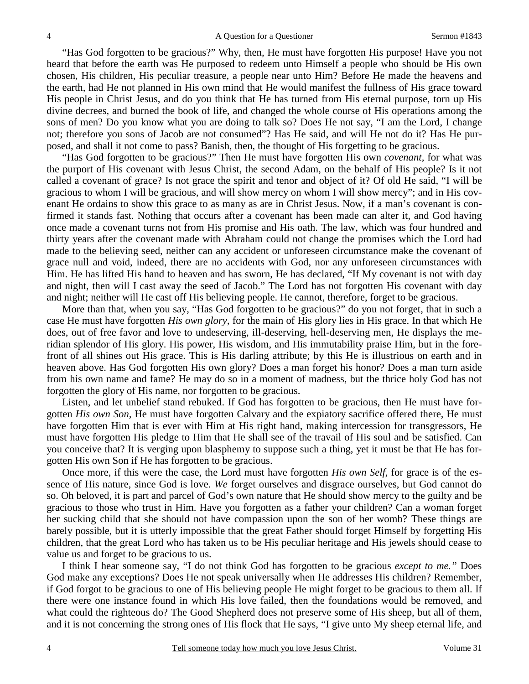"Has God forgotten to be gracious?" Why, then, He must have forgotten His purpose! Have you not heard that before the earth was He purposed to redeem unto Himself a people who should be His own chosen, His children, His peculiar treasure, a people near unto Him? Before He made the heavens and the earth, had He not planned in His own mind that He would manifest the fullness of His grace toward His people in Christ Jesus, and do you think that He has turned from His eternal purpose, torn up His divine decrees, and burned the book of life, and changed the whole course of His operations among the sons of men? Do you know what you are doing to talk so? Does He not say, "I am the Lord, I change not; therefore you sons of Jacob are not consumed"? Has He said, and will He not do it? Has He purposed, and shall it not come to pass? Banish, then, the thought of His forgetting to be gracious.

 "Has God forgotten to be gracious?" Then He must have forgotten His own *covenant,* for what was the purport of His covenant with Jesus Christ, the second Adam, on the behalf of His people? Is it not called a covenant of grace? Is not grace the spirit and tenor and object of it? Of old He said, "I will be gracious to whom I will be gracious, and will show mercy on whom I will show mercy"; and in His covenant He ordains to show this grace to as many as are in Christ Jesus. Now, if a man's covenant is confirmed it stands fast. Nothing that occurs after a covenant has been made can alter it, and God having once made a covenant turns not from His promise and His oath. The law, which was four hundred and thirty years after the covenant made with Abraham could not change the promises which the Lord had made to the believing seed, neither can any accident or unforeseen circumstance make the covenant of grace null and void, indeed, there are no accidents with God, nor any unforeseen circumstances with Him. He has lifted His hand to heaven and has sworn, He has declared, "If My covenant is not with day and night, then will I cast away the seed of Jacob." The Lord has not forgotten His covenant with day and night; neither will He cast off His believing people. He cannot, therefore, forget to be gracious.

 More than that, when you say, "Has God forgotten to be gracious?" do you not forget, that in such a case He must have forgotten *His own glory,* for the main of His glory lies in His grace. In that which He does, out of free favor and love to undeserving, ill-deserving, hell-deserving men, He displays the meridian splendor of His glory. His power, His wisdom, and His immutability praise Him, but in the forefront of all shines out His grace. This is His darling attribute; by this He is illustrious on earth and in heaven above. Has God forgotten His own glory? Does a man forget his honor? Does a man turn aside from his own name and fame? He may do so in a moment of madness, but the thrice holy God has not forgotten the glory of His name, nor forgotten to be gracious.

 Listen, and let unbelief stand rebuked. If God has forgotten to be gracious, then He must have forgotten *His own Son,* He must have forgotten Calvary and the expiatory sacrifice offered there, He must have forgotten Him that is ever with Him at His right hand, making intercession for transgressors, He must have forgotten His pledge to Him that He shall see of the travail of His soul and be satisfied. Can you conceive that? It is verging upon blasphemy to suppose such a thing, yet it must be that He has forgotten His own Son if He has forgotten to be gracious.

 Once more, if this were the case, the Lord must have forgotten *His own Self,* for grace is of the essence of His nature, since God is love. *We* forget ourselves and disgrace ourselves, but God cannot do so. Oh beloved, it is part and parcel of God's own nature that He should show mercy to the guilty and be gracious to those who trust in Him. Have you forgotten as a father your children? Can a woman forget her sucking child that she should not have compassion upon the son of her womb? These things are barely possible, but it is utterly impossible that the great Father should forget Himself by forgetting His children, that the great Lord who has taken us to be His peculiar heritage and His jewels should cease to value us and forget to be gracious to us.

 I think I hear someone say, "I do not think God has forgotten to be gracious *except to me."* Does God make any exceptions? Does He not speak universally when He addresses His children? Remember, if God forgot to be gracious to one of His believing people He might forget to be gracious to them all. If there were one instance found in which His love failed, then the foundations would be removed, and what could the righteous do? The Good Shepherd does not preserve some of His sheep, but all of them, and it is not concerning the strong ones of His flock that He says, "I give unto My sheep eternal life, and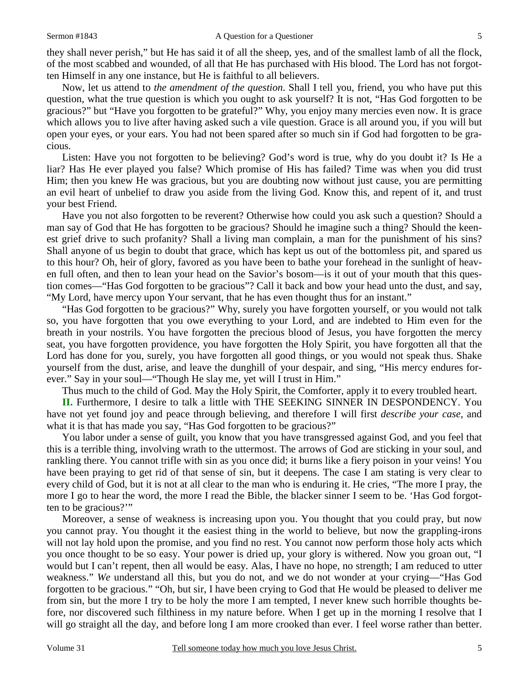they shall never perish," but He has said it of all the sheep, yes, and of the smallest lamb of all the flock, of the most scabbed and wounded, of all that He has purchased with His blood. The Lord has not forgotten Himself in any one instance, but He is faithful to all believers.

 Now, let us attend to *the amendment of the question*. Shall I tell you, friend, you who have put this question, what the true question is which you ought to ask yourself? It is not, "Has God forgotten to be gracious?" but "Have you forgotten to be grateful?" Why, you enjoy many mercies even now. It is grace which allows you to live after having asked such a vile question. Grace is all around you, if you will but open your eyes, or your ears. You had not been spared after so much sin if God had forgotten to be gracious.

 Listen: Have you not forgotten to be believing? God's word is true, why do you doubt it? Is He a liar? Has He ever played you false? Which promise of His has failed? Time was when you did trust Him; then you knew He was gracious, but you are doubting now without just cause, you are permitting an evil heart of unbelief to draw you aside from the living God. Know this, and repent of it, and trust your best Friend.

 Have you not also forgotten to be reverent? Otherwise how could you ask such a question? Should a man say of God that He has forgotten to be gracious? Should he imagine such a thing? Should the keenest grief drive to such profanity? Shall a living man complain, a man for the punishment of his sins? Shall anyone of us begin to doubt that grace, which has kept us out of the bottomless pit, and spared us to this hour? Oh, heir of glory, favored as you have been to bathe your forehead in the sunlight of heaven full often, and then to lean your head on the Savior's bosom—is it out of your mouth that this question comes—"Has God forgotten to be gracious"? Call it back and bow your head unto the dust, and say, "My Lord, have mercy upon Your servant, that he has even thought thus for an instant."

 "Has God forgotten to be gracious?" Why, surely you have forgotten yourself, or you would not talk so, you have forgotten that you owe everything to your Lord, and are indebted to Him even for the breath in your nostrils. You have forgotten the precious blood of Jesus, you have forgotten the mercy seat, you have forgotten providence, you have forgotten the Holy Spirit, you have forgotten all that the Lord has done for you, surely, you have forgotten all good things, or you would not speak thus. Shake yourself from the dust, arise, and leave the dunghill of your despair, and sing, "His mercy endures forever." Say in your soul—"Though He slay me, yet will I trust in Him."

Thus much to the child of God. May the Holy Spirit, the Comforter, apply it to every troubled heart.

**II.** Furthermore, I desire to talk a little with THE SEEKING SINNER IN DESPONDENCY. You have not yet found joy and peace through believing, and therefore I will first *describe your case,* and what it is that has made you say, "Has God forgotten to be gracious?"

 You labor under a sense of guilt, you know that you have transgressed against God, and you feel that this is a terrible thing, involving wrath to the uttermost. The arrows of God are sticking in your soul, and rankling there. You cannot trifle with sin as you once did; it burns like a fiery poison in your veins! You have been praying to get rid of that sense of sin, but it deepens. The case I am stating is very clear to every child of God, but it is not at all clear to the man who is enduring it. He cries, "The more I pray, the more I go to hear the word, the more I read the Bible, the blacker sinner I seem to be. 'Has God forgotten to be gracious?'"

 Moreover, a sense of weakness is increasing upon you. You thought that you could pray, but now you cannot pray. You thought it the easiest thing in the world to believe, but now the grappling-irons will not lay hold upon the promise, and you find no rest. You cannot now perform those holy acts which you once thought to be so easy. Your power is dried up, your glory is withered. Now you groan out, "I would but I can't repent, then all would be easy. Alas, I have no hope, no strength; I am reduced to utter weakness." *We* understand all this, but you do not, and we do not wonder at your crying—"Has God forgotten to be gracious." "Oh, but sir, I have been crying to God that He would be pleased to deliver me from sin, but the more I try to be holy the more I am tempted, I never knew such horrible thoughts before, nor discovered such filthiness in my nature before. When I get up in the morning I resolve that I will go straight all the day, and before long I am more crooked than ever. I feel worse rather than better.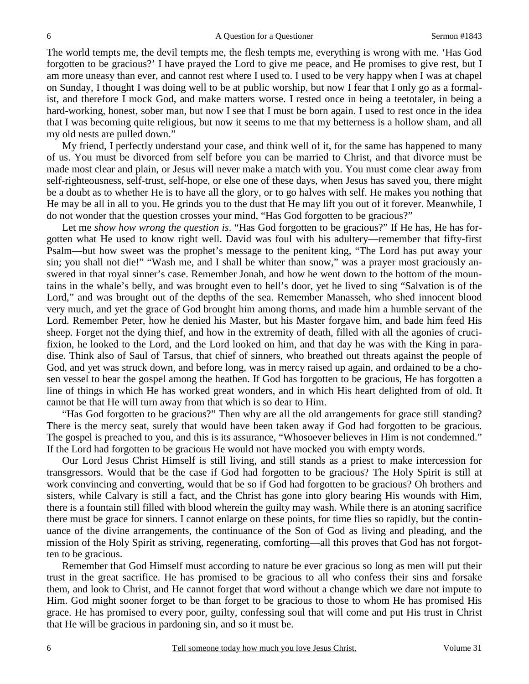The world tempts me, the devil tempts me, the flesh tempts me, everything is wrong with me. 'Has God forgotten to be gracious?' I have prayed the Lord to give me peace, and He promises to give rest, but I am more uneasy than ever, and cannot rest where I used to. I used to be very happy when I was at chapel on Sunday, I thought I was doing well to be at public worship, but now I fear that I only go as a formalist, and therefore I mock God, and make matters worse. I rested once in being a teetotaler, in being a hard-working, honest, sober man, but now I see that I must be born again. I used to rest once in the idea that I was becoming quite religious, but now it seems to me that my betterness is a hollow sham, and all my old nests are pulled down."

 My friend, I perfectly understand your case, and think well of it, for the same has happened to many of us. You must be divorced from self before you can be married to Christ, and that divorce must be made most clear and plain, or Jesus will never make a match with you. You must come clear away from self-righteousness, self-trust, self-hope, or else one of these days, when Jesus has saved you, there might be a doubt as to whether He is to have all the glory, or to go halves with self. He makes you nothing that He may be all in all to you. He grinds you to the dust that He may lift you out of it forever. Meanwhile, I do not wonder that the question crosses your mind, "Has God forgotten to be gracious?"

 Let me *show how wrong the question is*. "Has God forgotten to be gracious?" If He has, He has forgotten what He used to know right well. David was foul with his adultery—remember that fifty-first Psalm—but how sweet was the prophet's message to the penitent king, "The Lord has put away your sin; you shall not die!" "Wash me, and I shall be whiter than snow," was a prayer most graciously answered in that royal sinner's case. Remember Jonah, and how he went down to the bottom of the mountains in the whale's belly, and was brought even to hell's door, yet he lived to sing "Salvation is of the Lord," and was brought out of the depths of the sea. Remember Manasseh, who shed innocent blood very much, and yet the grace of God brought him among thorns, and made him a humble servant of the Lord. Remember Peter, how he denied his Master, but his Master forgave him, and bade him feed His sheep. Forget not the dying thief, and how in the extremity of death, filled with all the agonies of crucifixion, he looked to the Lord, and the Lord looked on him, and that day he was with the King in paradise. Think also of Saul of Tarsus, that chief of sinners, who breathed out threats against the people of God, and yet was struck down, and before long, was in mercy raised up again, and ordained to be a chosen vessel to bear the gospel among the heathen. If God has forgotten to be gracious, He has forgotten a line of things in which He has worked great wonders, and in which His heart delighted from of old. It cannot be that He will turn away from that which is so dear to Him.

 "Has God forgotten to be gracious?" Then why are all the old arrangements for grace still standing? There is the mercy seat, surely that would have been taken away if God had forgotten to be gracious. The gospel is preached to you, and this is its assurance, "Whosoever believes in Him is not condemned." If the Lord had forgotten to be gracious He would not have mocked you with empty words.

 Our Lord Jesus Christ Himself is still living, and still stands as a priest to make intercession for transgressors. Would that be the case if God had forgotten to be gracious? The Holy Spirit is still at work convincing and converting, would that be so if God had forgotten to be gracious? Oh brothers and sisters, while Calvary is still a fact, and the Christ has gone into glory bearing His wounds with Him, there is a fountain still filled with blood wherein the guilty may wash. While there is an atoning sacrifice there must be grace for sinners. I cannot enlarge on these points, for time flies so rapidly, but the continuance of the divine arrangements, the continuance of the Son of God as living and pleading, and the mission of the Holy Spirit as striving, regenerating, comforting—all this proves that God has not forgotten to be gracious.

 Remember that God Himself must according to nature be ever gracious so long as men will put their trust in the great sacrifice. He has promised to be gracious to all who confess their sins and forsake them, and look to Christ, and He cannot forget that word without a change which we dare not impute to Him. God might sooner forget to be than forget to be gracious to those to whom He has promised His grace. He has promised to every poor, guilty, confessing soul that will come and put His trust in Christ that He will be gracious in pardoning sin, and so it must be.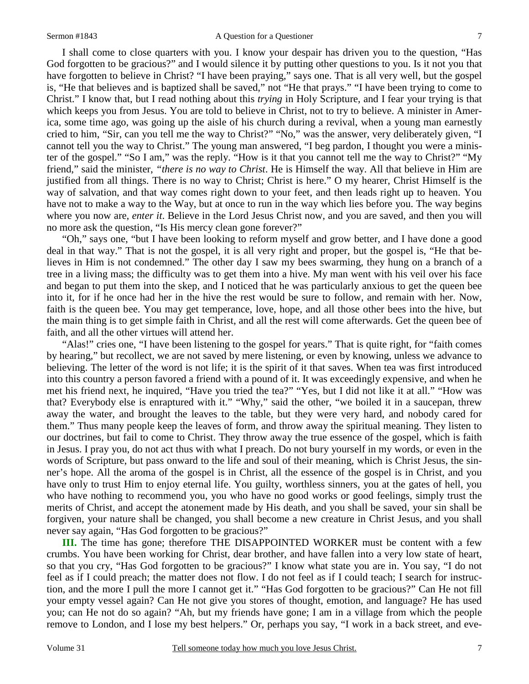I shall come to close quarters with you. I know your despair has driven you to the question, "Has God forgotten to be gracious?" and I would silence it by putting other questions to you. Is it not you that have forgotten to believe in Christ? "I have been praying," says one. That is all very well, but the gospel is, "He that believes and is baptized shall be saved," not "He that prays." "I have been trying to come to Christ." I know that, but I read nothing about this *trying* in Holy Scripture, and I fear your trying is that which keeps you from Jesus. You are told to believe in Christ, not to try to believe. A minister in America, some time ago, was going up the aisle of his church during a revival, when a young man earnestly cried to him, "Sir, can you tell me the way to Christ?" "No," was the answer, very deliberately given, "I cannot tell you the way to Christ." The young man answered, "I beg pardon, I thought you were a minister of the gospel." "So I am," was the reply. "How is it that you cannot tell me the way to Christ?" "My friend," said the minister, *"there is no way to Christ*. He is Himself the way. All that believe in Him are justified from all things. There is no way to Christ; Christ is here." O my hearer, Christ Himself is the way of salvation, and that way comes right down to your feet, and then leads right up to heaven. You have not to make a way to the Way, but at once to run in the way which lies before you. The way begins where you now are, *enter it*. Believe in the Lord Jesus Christ now, and you are saved, and then you will no more ask the question, "Is His mercy clean gone forever?"

 "Oh," says one, "but I have been looking to reform myself and grow better, and I have done a good deal in that way." That is not the gospel, it is all very right and proper, but the gospel is, "He that believes in Him is not condemned." The other day I saw my bees swarming, they hung on a branch of a tree in a living mass; the difficulty was to get them into a hive. My man went with his veil over his face and began to put them into the skep, and I noticed that he was particularly anxious to get the queen bee into it, for if he once had her in the hive the rest would be sure to follow, and remain with her. Now, faith is the queen bee. You may get temperance, love, hope, and all those other bees into the hive, but the main thing is to get simple faith in Christ, and all the rest will come afterwards. Get the queen bee of faith, and all the other virtues will attend her.

 "Alas!" cries one, "I have been listening to the gospel for years." That is quite right, for "faith comes by hearing," but recollect, we are not saved by mere listening, or even by knowing, unless we advance to believing. The letter of the word is not life; it is the spirit of it that saves. When tea was first introduced into this country a person favored a friend with a pound of it. It was exceedingly expensive, and when he met his friend next, he inquired, "Have you tried the tea?" "Yes, but I did not like it at all." "How was that? Everybody else is enraptured with it." "Why," said the other, "we boiled it in a saucepan, threw away the water, and brought the leaves to the table, but they were very hard, and nobody cared for them." Thus many people keep the leaves of form, and throw away the spiritual meaning. They listen to our doctrines, but fail to come to Christ. They throw away the true essence of the gospel, which is faith in Jesus. I pray you, do not act thus with what I preach. Do not bury yourself in my words, or even in the words of Scripture, but pass onward to the life and soul of their meaning, which is Christ Jesus, the sinner's hope. All the aroma of the gospel is in Christ, all the essence of the gospel is in Christ, and you have only to trust Him to enjoy eternal life. You guilty, worthless sinners, you at the gates of hell, you who have nothing to recommend you, you who have no good works or good feelings, simply trust the merits of Christ, and accept the atonement made by His death, and you shall be saved, your sin shall be forgiven, your nature shall be changed, you shall become a new creature in Christ Jesus, and you shall never say again, "Has God forgotten to be gracious?"

**III.** The time has gone; therefore THE DISAPPOINTED WORKER must be content with a few crumbs. You have been working for Christ, dear brother, and have fallen into a very low state of heart, so that you cry, "Has God forgotten to be gracious?" I know what state you are in. You say, "I do not feel as if I could preach; the matter does not flow. I do not feel as if I could teach; I search for instruction, and the more I pull the more I cannot get it." "Has God forgotten to be gracious?" Can He not fill your empty vessel again? Can He not give you stores of thought, emotion, and language? He has used you; can He not do so again? "Ah, but my friends have gone; I am in a village from which the people remove to London, and I lose my best helpers." Or, perhaps you say, "I work in a back street, and eve